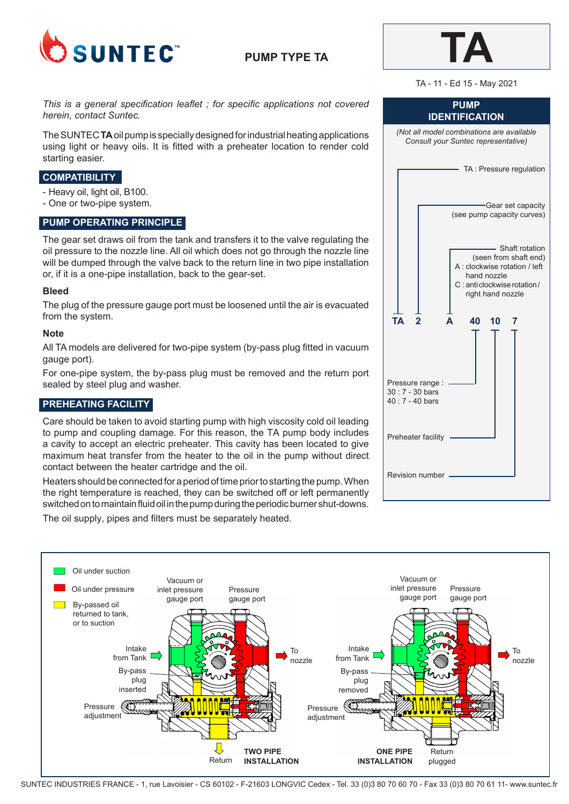

# **PUMP TYPE TA**



#### TA - 11 - Ed 15 - May 2021

*This is a general specification leaflet ; for specific applications not covered herein, contact Suntec.*

The SUNTEC **TA** oil pump is specially designed for industrial heating applications using light or heavy oils. It is fitted with a preheater location to render cold starting easier.

### **COMPATIBILITY**

- Heavy oil, light oil, B100.
- One or two-pipe system.

### **PUMP OPERATING PRINCIPLE**

The gear set draws oil from the tank and transfers it to the valve regulating the oil pressure to the nozzle line. All oil which does not go through the nozzle line will be dumped through the valve back to the return line in two pipe installation or, if it is a one-pipe installation, back to the gear-set.

#### **Bleed**

The plug of the pressure gauge port must be loosened until the air is evacuated from the system.

### **Note**

All TA models are delivered for two-pipe system (by-pass plug fitted in vacuum gauge port).

For one-pipe system, the by-pass plug must be removed and the return port sealed by steel plug and washer.

# **PREHEATING FACILITY**

Care should be taken to avoid starting pump with high viscosity cold oil leading to pump and coupling damage. For this reason, the TA pump body includes a cavity to accept an electric preheater. This cavity has been located to give maximum heat transfer from the heater to the oil in the pump without direct contact between the heater cartridge and the oil.

Heaters should be connected for a period of time prior to starting the pump. When the right temperature is reached, they can be switched off or left permanently switched on to maintain fluid oil in the pump during the periodic burner shut-downs.

The oil supply, pipes and filters must be separately heated.